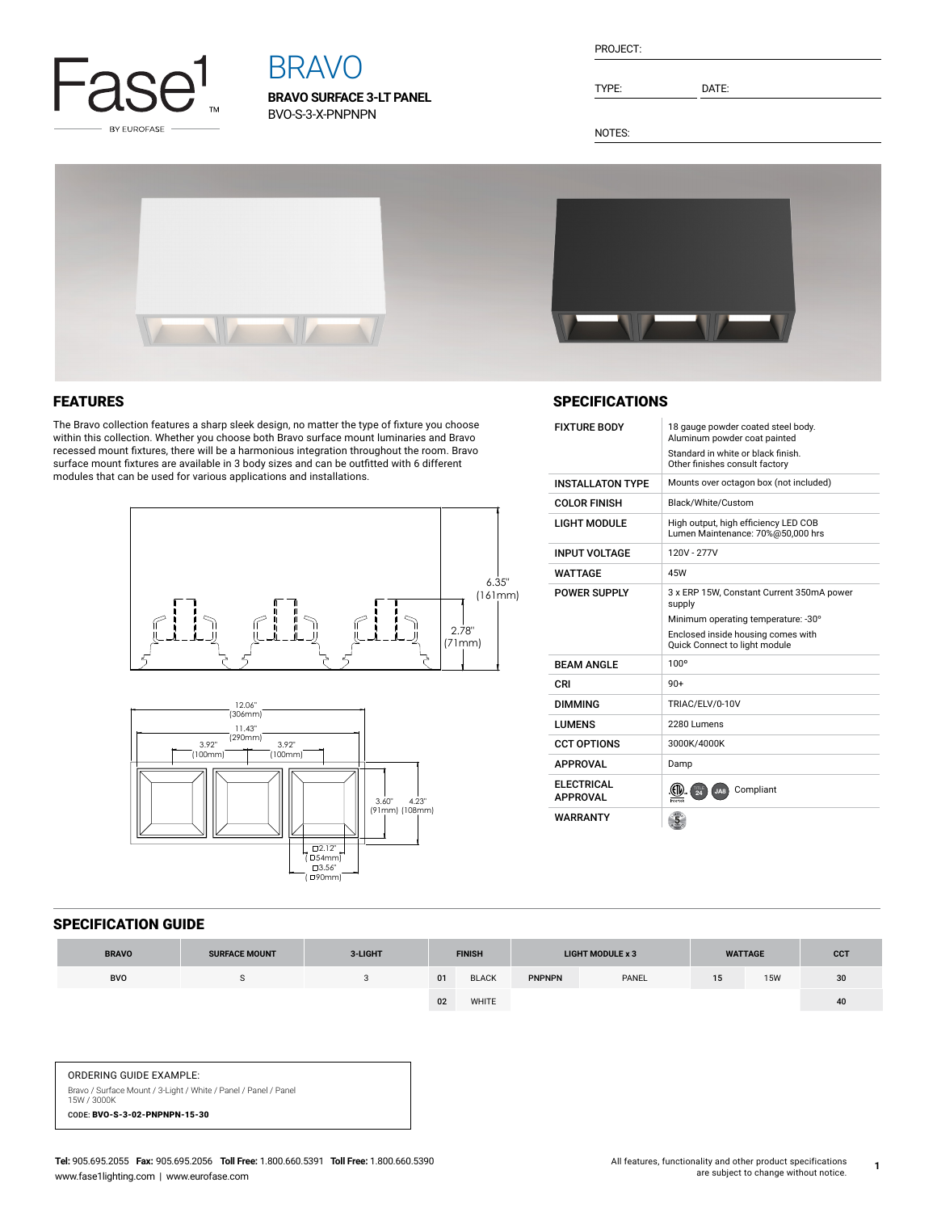

# BRAVO

**BRAVO SURFACE 3-LT PANEL** BVO-S-3-X-PNPNPN

| PROJECT: |  |
|----------|--|
|          |  |

TYPE: DATE:

NOTES:



## FEATURES

The Bravo collection features a sharp sleek design, no matter the type of fixture you choose within this collection. Whether you choose both Bravo surface mount luminaries and Bravo recessed mount fixtures, there will be a harmonious integration throughout the room. Bravo surface mount fixtures are available in 3 body sizes and can be outfitted with 6 different modules that can be used for various applications and installations.





#### **SPECIFICATIONS**

| <b>FIXTURE BODY</b>                   | 18 gauge powder coated steel body.<br>Aluminum powder coat painted<br>Standard in white or black finish.<br>Other finishes consult factory                        |  |  |  |  |  |
|---------------------------------------|-------------------------------------------------------------------------------------------------------------------------------------------------------------------|--|--|--|--|--|
| <b>INSTALL ATON TYPE</b>              | Mounts over octagon box (not included)                                                                                                                            |  |  |  |  |  |
| <b>COLOR FINISH</b>                   | Black/White/Custom                                                                                                                                                |  |  |  |  |  |
| <b>LIGHT MODULE</b>                   | High output, high efficiency LED COB<br>Lumen Maintenance: 70%@50,000 hrs                                                                                         |  |  |  |  |  |
| <b>INPUT VOLTAGE</b>                  | 120V - 277V                                                                                                                                                       |  |  |  |  |  |
| WATTAGF                               | 45W                                                                                                                                                               |  |  |  |  |  |
| POWER SUPPLY                          | 3 x ERP 15W, Constant Current 350mA power<br>supply<br>Minimum operating temperature: -30°<br>Enclosed inside housing comes with<br>Quick Connect to light module |  |  |  |  |  |
| <b>BFAM ANGLF</b>                     | 100°                                                                                                                                                              |  |  |  |  |  |
| CRI                                   | $90+$                                                                                                                                                             |  |  |  |  |  |
| <b>DIMMING</b>                        | TRIAC/ELV/0-10V                                                                                                                                                   |  |  |  |  |  |
| <b>I UMENS</b>                        | 2280 Lumens                                                                                                                                                       |  |  |  |  |  |
| <b>CCT OPTIONS</b>                    | 3000K/4000K                                                                                                                                                       |  |  |  |  |  |
| <b>APPROVAL</b>                       | Damp                                                                                                                                                              |  |  |  |  |  |
| <b>FI FCTRICAL</b><br><b>APPROVAL</b> | Compliant<br>JA8<br>$\frac{1}{24}$                                                                                                                                |  |  |  |  |  |
| <b>WARRANTY</b>                       |                                                                                                                                                                   |  |  |  |  |  |

#### SPECIFICATION GUIDE

| <b>BRAVO</b> | <b>SURFACE MOUNT</b> | 3-LIGHT | <b>FINISH</b> |              |               |       |    | <b>LIGHT MODULE x 3</b> |                 | <b>WATTAGE</b> | <b>CCT</b> |
|--------------|----------------------|---------|---------------|--------------|---------------|-------|----|-------------------------|-----------------|----------------|------------|
| <b>BVO</b>   |                      |         | 01            | <b>BLACK</b> | <b>PNPNPN</b> | PANEL | 15 | <b>15W</b>              | 30 <sup>°</sup> |                |            |
|              |                      |         | 02            | <b>WHITE</b> |               |       |    |                         | 40              |                |            |

ORDERING GUIDE EXAMPLE: Bravo / Surface Mount / 3-Light / White / Panel / Panel / Panel 15W / 3000K

CODE: BVO-S-3-02-PNPNPN-15-30

**1**